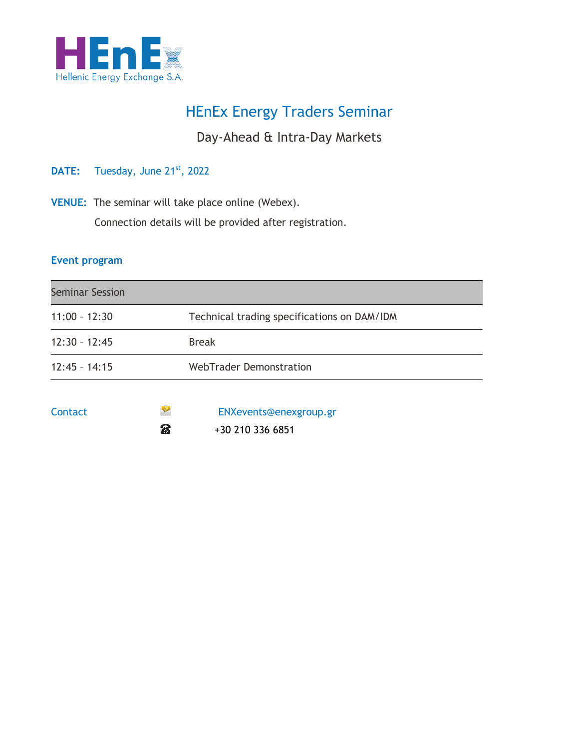

# HEnEx Energy Traders Seminar

## Day-Ahead & Intra-Day Markets

## DATE: Tuesday, June 21<sup>st</sup>, 2022

**VENUE:** The seminar will take place online (Webex).

Connection details will be provided after registration.

#### **Event program**

| <b>Seminar Session</b> |                                             |
|------------------------|---------------------------------------------|
| $11:00 - 12:30$        | Technical trading specifications on DAM/IDM |
| $12:30 - 12:45$        | <b>Break</b>                                |
| $12:45 - 14:15$        | <b>WebTrader Demonstration</b>              |
|                        |                                             |



Contact ENXevents@enexgroup.gr  $\bullet$  +30 210 336 6851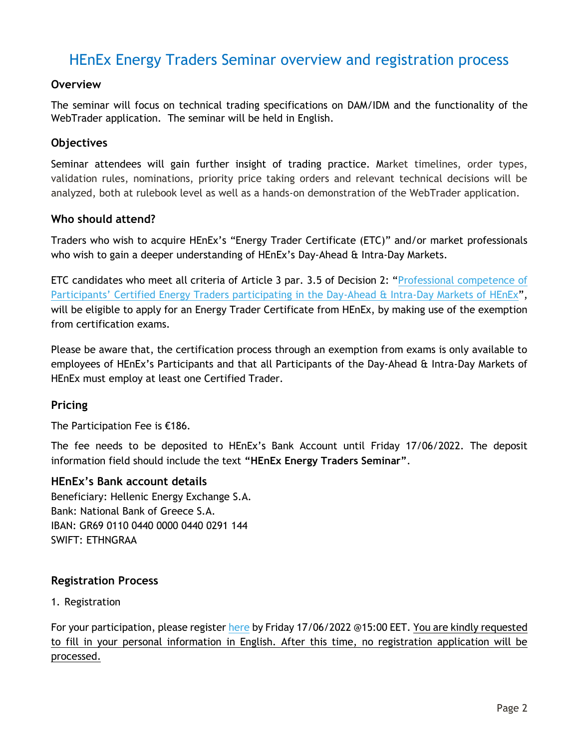## HEnEx Energy Traders Seminar overview and registration process

## **Overview**

The seminar will focus on technical trading specifications on DAM/IDM and the functionality of the WebTrader application. The seminar will be held in English.

## **Objectives**

Seminar attendees will gain further insight of trading practice. Market timelines, order types, validation rules, nominations, priority price taking orders and relevant technical decisions will be analyzed, both at rulebook level as well as a hands-on demonstration of the WebTrader application.

#### **Who should attend?**

Traders who wish to acquire HEnEx's "Energy Trader Certificate (ETC)" and/or market professionals who wish to gain a deeper understanding of HEnEx's Day-Ahead & Intra-Day Markets.

ETC candidates who meet all criteria of Article 3 par. 3.5 of Decision 2: "[Professional competence of](https://www.enexgroup.gr/documents/20126/144557/20200507_Decision_02_EN.pdf)  [Participants' Certified Energy Traders participating in the Day](https://www.enexgroup.gr/documents/20126/144557/20200507_Decision_02_EN.pdf)-Ahead & Intra-Day Markets of HEnEx", will be eligible to apply for an Energy Trader Certificate from HEnEx, by making use of the exemption from certification exams.

Please be aware that, the certification process through an exemption from exams is only available to employees of HEnEx's Participants and that all Participants of the Day-Ahead & Intra-Day Markets of HEnEx must employ at least one Certified Trader.

## **Pricing**

The Participation Fee is €186.

The fee needs to be deposited to HEnEx's Bank Account until Friday 17/06/2022. The deposit information field should include the text **"HEnEx Energy Traders Seminar"**.

#### **HEnEx's Bank account details**

Beneficiary: Hellenic Energy Exchange S.A. Bank: National Bank of Greece S.A. IBAN: GR69 0110 0440 0000 0440 0291 144 SWIFT: ETHNGRAA

## **Registration Process**

1. Registration

For your participation, please register [here](https://www.enexgroup.gr/web/guest/etc-seminar-registration-form) by Friday 17/06/2022 @15:00 EET. You are kindly requested to fill in your personal information in English. After this time, no registration application will be processed.